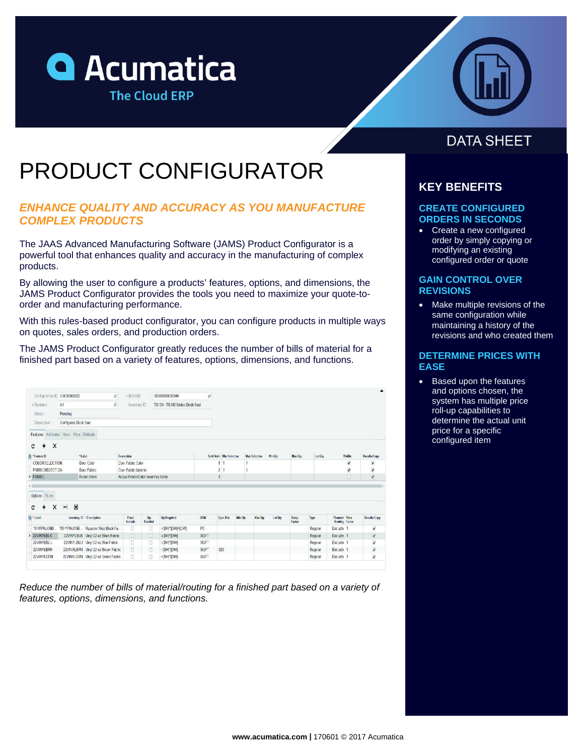



# PRODUCT CONFIGURATOR

## *ENHANCE QUALITY AND ACCURACY AS YOU MANUFACTURE COMPLEX PRODUCTS*

The JAAS Advanced Manufacturing Software (JAMS) Product Configurator is a powerful tool that enhances quality and accuracy in the manufacturing of complex products.

By allowing the user to configure a products' features, options, and dimensions, the JAMS Product Configurator provides the tools you need to maximize your quote-toorder and manufacturing performance.

With this rules-based product configurator, you can configure products in multiple ways on quotes, sales orders, and production orders.

The JAMS Product Configurator greatly reduces the number of bills of material for a finished part based on a variety of features, options, dimensions, and functions.

| Configuration ID: C0000000022   | $\hbox{\vphantom{\bigcirc}\circ}$       | 00000000000000<br>· BOM ID:         |                                                 |                           | Q          |                          |         |                      |         |                 |                         |                                        |                         |
|---------------------------------|-----------------------------------------|-------------------------------------|-------------------------------------------------|---------------------------|------------|--------------------------|---------|----------------------|---------|-----------------|-------------------------|----------------------------------------|-------------------------|
| * Revision:                     | $\hbox{\vphantom{\bigcirc}\circ}$<br>A1 |                                     | Inventory ID:<br>TS100 - TS100 Series Dock Seal |                           |            |                          |         |                      |         |                 |                         |                                        |                         |
| Status:                         | Pending                                 |                                     |                                                 |                           |            |                          |         |                      |         |                 |                         |                                        |                         |
| Description                     | Configured Dock Sea                     |                                     |                                                 |                           |            |                          |         |                      |         |                 |                         |                                        |                         |
|                                 | Features Attributes Keys Price Defaults |                                     |                                                 |                           |            |                          |         |                      |         |                 |                         |                                        |                         |
| $\times$<br>÷<br>C              |                                         |                                     |                                                 |                           |            |                          |         |                      |         |                 |                         |                                        |                         |
| 高·Feature ID                    | *Label                                  | Description                         |                                                 |                           |            | Sort Order Min Selection |         | <b>Max Selection</b> | Min Qtv | Max Cty         | Lot Cty                 | Visible                                | <b>Results Copy</b>     |
| <b>COLORSELECTION</b>           | Door Color                              | Door Fabric Color                   |                                                 |                           |            | 111                      |         |                      |         |                 |                         | N                                      | V                       |
| FABRICSELECTION<br>Door Fabric  |                                         | Door Fabric Material                |                                                 |                           | 21         |                          |         |                      |         | N               | $\overline{\mathbf{v}}$ |                                        |                         |
| > FABRIC<br><b>Fabric Items</b> |                                         | Actual Fabric/Color Inventory Items |                                                 | $\mathbf{3}$              |            |                          |         |                      |         | Ω               | $\overline{\mathbf{v}}$ |                                        |                         |
| Options Rules<br>X<br>c         | ×<br>$\blacksquare$                     |                                     |                                                 |                           |            |                          |         |                      |         |                 |                         |                                        |                         |
| m <sup>*Label</sup>             | Inventory ID . Description              | Fixed<br>Include                    | Ory<br>Enabled                                  | <b>Orv Required</b>       | <b>UOM</b> | Oper, Nbr                | Min Otv | <b>Nax Otv</b>       | Lot Oty | Scrap<br>Factor | Type                    | Phantom Price<br><b>Routing Factor</b> | <b>Results Copy</b>     |
|                                 | 18HYPALONB Hypalon 16oz Black Fa        | $\Box$                              | Π                                               | $=[DH^*[DW]+[CW]$         | PC         |                          |         |                      |         |                 | Regular                 | Exclude 1                              | V                       |
| 16HYPALONB                      |                                         |                                     |                                                 | $=$ [DH]*[DW]             | SQFT       |                          |         |                      |         |                 | Regular                 | Exclude 1                              |                         |
|                                 | 22VINYLBLK Vinyl 22 oz Black Fabric     | $\Box$                              | α                                               |                           |            |                          |         |                      |         |                 |                         |                                        | V                       |
| 22VINYLBLU                      | 22VINYLBLU Vinyl 22 oz Blue Fabric      | Ω                                   | Π                                               | $=[DH]$ <sup>*</sup> [DW] | SOFT       |                          |         |                      |         |                 | Regular                 | Exclude 1                              | $\overline{\mathsf{v}}$ |
| > 22VINYLBLK<br>22VINYLERN      | 22VINYLBRN Vinyl 22 oz Brown Fabric     | $\Box$                              | $\Box$                                          | $=[DH]^*[DW]$             | SQFT       | 020                      |         |                      |         |                 | Regular                 | Exclude 1                              | V                       |

*Reduce the number of bills of material/routing for a finished part based on a variety of features, options, dimensions, and functions.*

# **DATA SHEET**

## **KEY BENEFITS**

#### **CREATE CONFIGURED ORDERS IN SECONDS**

• Create a new configured order by simply copying or modifying an existing configured order or quote

#### **GAIN CONTROL OVER REVISIONS**

• Make multiple revisions of the same configuration while maintaining a history of the revisions and who created them

#### **DETERMINE PRICES WITH EASE**

• Based upon the features and options chosen, the system has multiple price roll-up capabilities to determine the actual unit price for a specific configured item